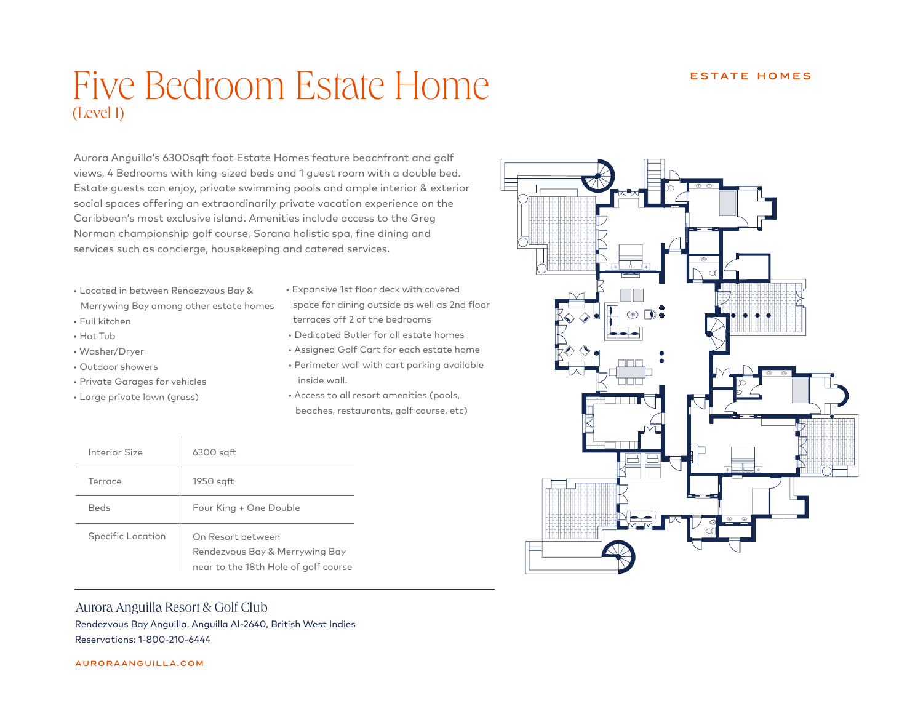## Five Bedroom Estate Home (Level 1)

Aurora Anguilla's 6300sqft foot Estate Homes feature beachfront and golf views, 4 Bedrooms with king-sized beds and 1 guest room with a double bed. Estate guests can enjoy, private swimming pools and ample interior & exterior social spaces offering an extraordinarily private vacation experience on the Caribbean's most exclusive island. Amenities include access to the Greg Norman championship golf course, Sorana holistic spa, fine dining and services such as concierge, housekeeping and catered services.

- Located in between Rendezvous Bay & Merrywing Bay among other estate homes
- Full kitchen
- Hot Tub
- Washer/Dryer
- Outdoor showers
- Private Garages for vehicles
- Large private lawn (grass)
- Expansive 1st floor deck with covered space for dining outside as well as 2nd floor terraces off 2 of the bedrooms
- Dedicated Butler for all estate homes
- Assigned Golf Cart for each estate home
- Perimeter wall with cart parking available inside wall.
- Access to all resort amenities (pools, beaches, restaurants, golf course, etc)

| Interior Size     | $6300$ sqft                                                                                 |
|-------------------|---------------------------------------------------------------------------------------------|
| Terrace           | $1950$ sqft                                                                                 |
| Beds              | Four King + One Double                                                                      |
| Specific Location | On Resort between<br>Rendezvous Bay & Merrywing Bay<br>near to the 18th Hole of golf course |



Aurora Anguilla Resort & Golf Club Rendezvous Bay Anguilla, Anguilla AI-2640, British West Indies

Reservations: 1-800-210-6444

AURORAANGUILLA.COM